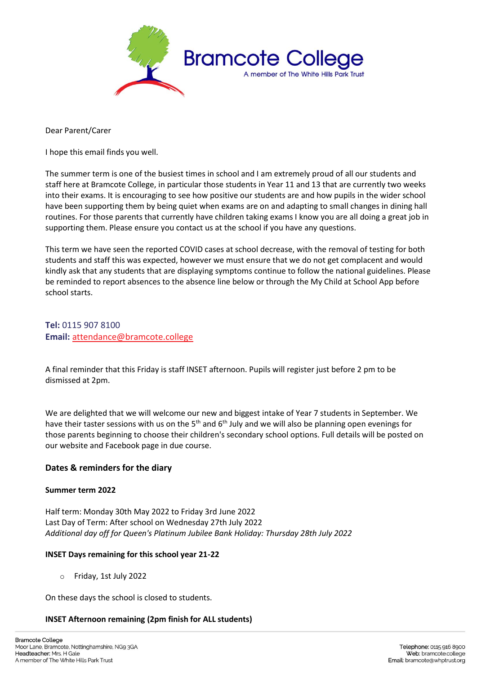

Dear Parent/Carer

I hope this email finds you well.

The summer term is one of the busiest times in school and I am extremely proud of all our students and staff here at Bramcote College, in particular those students in Year 11 and 13 that are currently two weeks into their exams. It is encouraging to see how positive our students are and how pupils in the wider school have been supporting them by being quiet when exams are on and adapting to small changes in dining hall routines. For those parents that currently have children taking exams I know you are all doing a great job in supporting them. Please ensure you contact us at the school if you have any questions.

This term we have seen the reported COVID cases at school decrease, with the removal of testing for both students and staff this was expected, however we must ensure that we do not get complacent and would kindly ask that any students that are displaying symptoms continue to follow the national guidelines. Please be reminded to report absences to the absence line below or through the My Child at School App before school starts.

**Tel:** 0115 907 8100 **Email:** [attendance@bramcote.college](mailto:attendance@bramcote.college)

A final reminder that this Friday is staff INSET afternoon. Pupils will register just before 2 pm to be dismissed at 2pm.

We are delighted that we will welcome our new and biggest intake of Year 7 students in September. We have their taster sessions with us on the  $5<sup>th</sup>$  and  $6<sup>th</sup>$  July and we will also be planning open evenings for those parents beginning to choose their children's secondary school options. Full details will be posted on our website and Facebook page in due course.

## **Dates & reminders for the diary**

## **Summer term 2022**

Half term: Monday 30th May 2022 to Friday 3rd June 2022 Last Day of Term: After school on Wednesday 27th July 2022 *Additional day off for Queen's Platinum Jubilee Bank Holiday: Thursday 28th July 2022*

## **INSET Days remaining for this school year 21-22**

o Friday, 1st July 2022

On these days the school is closed to students.

## **INSET Afternoon remaining (2pm finish for ALL students)**